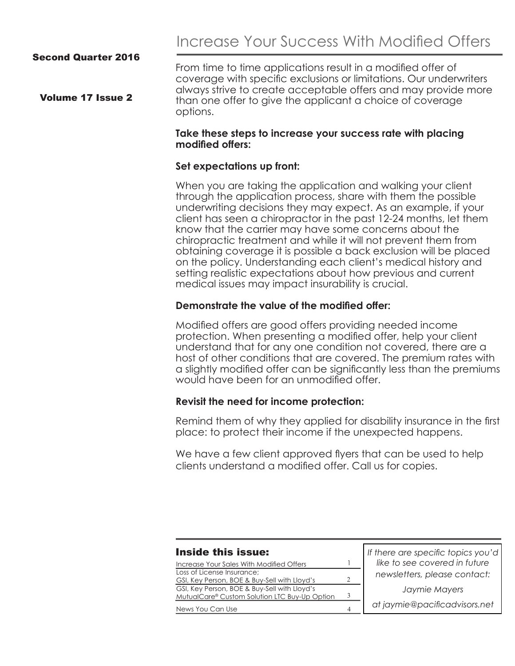Increase Your Success With Modified Offers

#### Second Quarter 2016

Volume 17 Issue 2

From time to time applications result in a modified offer of coverage with specific exclusions or limitations. Our underwriters always strive to create acceptable offers and may provide more than one offer to give the applicant a choice of coverage options.

#### **Take these steps to increase your success rate with placing modified offers:**

#### **Set expectations up front:**

When you are taking the application and walking your client through the application process, share with them the possible underwriting decisions they may expect. As an example, if your client has seen a chiropractor in the past 12-24 months, let them know that the carrier may have some concerns about the chiropractic treatment and while it will not prevent them from obtaining coverage it is possible a back exclusion will be placed on the policy. Understanding each client's medical history and setting realistic expectations about how previous and current medical issues may impact insurability is crucial.

#### **Demonstrate the value of the modified offer:**

Modified offers are good offers providing needed income protection. When presenting a modified offer, help your client understand that for any one condition not covered, there are a host of other conditions that are covered. The premium rates with a slightly modified offer can be significantly less than the premiums would have been for an unmodified offer.

#### **Revisit the need for income protection:**

Remind them of why they applied for disability insurance in the first place: to protect their income if the unexpected happens.

We have a few client approved flyers that can be used to help clients understand a modified offer. Call us for copies.

| <b>Inside this issue:</b>                                                                     |               | If there are specific topics you'd |
|-----------------------------------------------------------------------------------------------|---------------|------------------------------------|
| Increase Your Sales With Modified Offers<br>Loss of License Insurance;                        |               | like to see covered in future      |
| GSI, Key Person, BOE & Buy-Sell with Lloyd's                                                  | $\mathcal{D}$ | newsletters, please contact:       |
| GSI, Key Person, BOE & Buy-Sell with Lloyd's<br>MutualCare® Custom Solution LTC Buy-Up Option | 3             | Jaymie Mayers                      |
| News You Can Use                                                                              | 4             | at jaymie@pacificadvisors.net      |
|                                                                                               |               |                                    |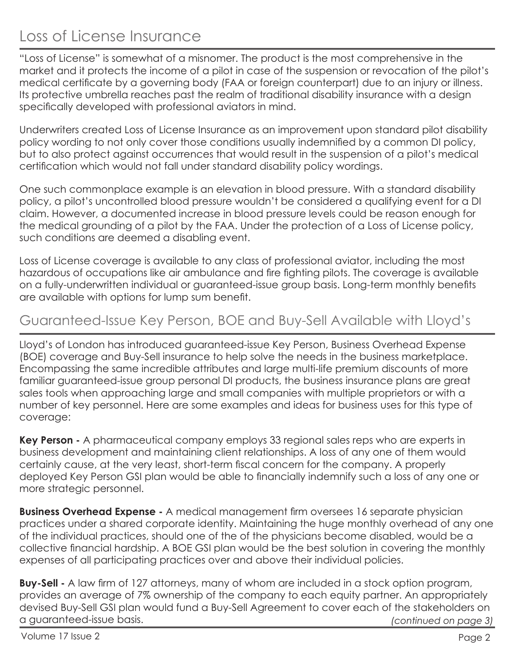## Loss of License Insurance

"Loss of License" is somewhat of a misnomer. The product is the most comprehensive in the market and it protects the income of a pilot in case of the suspension or revocation of the pilot's medical certificate by a governing body (FAA or foreign counterpart) due to an injury or illness. Its protective umbrella reaches past the realm of traditional disability insurance with a design specifically developed with professional aviators in mind.

Underwriters created Loss of License Insurance as an improvement upon standard pilot disability policy wording to not only cover those conditions usually indemnified by a common DI policy, but to also protect against occurrences that would result in the suspension of a pilot's medical certification which would not fall under standard disability policy wordings.

One such commonplace example is an elevation in blood pressure. With a standard disability policy, a pilot's uncontrolled blood pressure wouldn't be considered a qualifying event for a DI claim. However, a documented increase in blood pressure levels could be reason enough for the medical grounding of a pilot by the FAA. Under the protection of a Loss of License policy, such conditions are deemed a disabling event.

Loss of License coverage is available to any class of professional aviator, including the most hazardous of occupations like air ambulance and fire fighting pilots. The coverage is available on a fully-underwritten individual or guaranteed-issue group basis. Long-term monthly benefits are available with options for lump sum benefit.

### Guaranteed-Issue Key Person, BOE and Buy-Sell Available with Lloyd's

Lloyd's of London has introduced guaranteed-issue Key Person, Business Overhead Expense (BOE) coverage and Buy-Sell insurance to help solve the needs in the business marketplace. Encompassing the same incredible attributes and large multi-life premium discounts of more familiar guaranteed-issue group personal DI products, the business insurance plans are great sales tools when approaching large and small companies with multiple proprietors or with a number of key personnel. Here are some examples and ideas for business uses for this type of coverage:

**Key Person -** A pharmaceutical company employs 33 regional sales reps who are experts in business development and maintaining client relationships. A loss of any one of them would certainly cause, at the very least, short-term fiscal concern for the company. A properly deployed Key Person GSI plan would be able to financially indemnify such a loss of any one or more strategic personnel.

**Business Overhead Expense -** A medical management firm oversees 16 separate physician practices under a shared corporate identity. Maintaining the huge monthly overhead of any one of the individual practices, should one of the of the physicians become disabled, would be a collective financial hardship. A BOE GSI plan would be the best solution in covering the monthly expenses of all participating practices over and above their individual policies.

*(continued on page 3)* **Buy-Sell -** A law firm of 127 attorneys, many of whom are included in a stock option program, provides an average of 7% ownership of the company to each equity partner. An appropriately devised Buy-Sell GSI plan would fund a Buy-Sell Agreement to cover each of the stakeholders on a guaranteed-issue basis.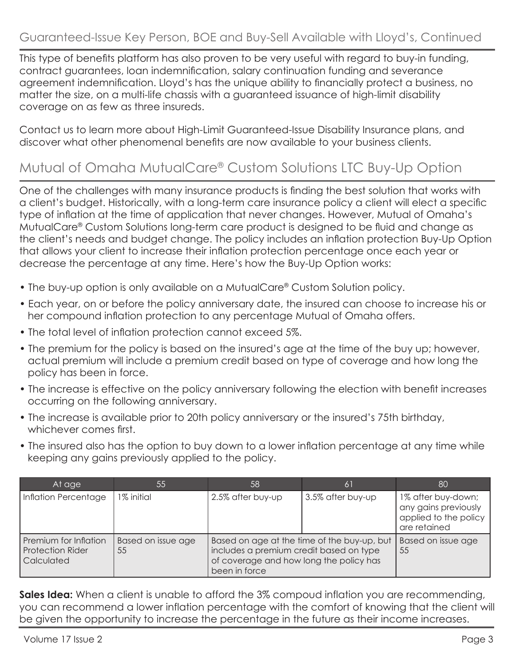This type of benefits platform has also proven to be very useful with regard to buy-in funding, contract guarantees, loan indemnification, salary continuation funding and severance agreement indemnification. Lloyd's has the unique ability to financially protect a business, no matter the size, on a multi-life chassis with a guaranteed issuance of high-limit disability coverage on as few as three insureds.

Contact us to learn more about High-Limit Guaranteed-Issue Disability Insurance plans, and discover what other phenomenal benefits are now available to your business clients.

### Mutual of Omaha MutualCare® Custom Solutions LTC Buy-Up Option

One of the challenges with many insurance products is finding the best solution that works with a client's budget. Historically, with a long-term care insurance policy a client will elect a specific type of inflation at the time of application that never changes. However, Mutual of Omaha's MutualCare® Custom Solutions long-term care product is designed to be fluid and change as the client's needs and budget change. The policy includes an inflation protection Buy-Up Option that allows your client to increase their inflation protection percentage once each year or decrease the percentage at any time. Here's how the Buy-Up Option works:

- The buy-up option is only available on a MutualCare® Custom Solution policy.
- Each year, on or before the policy anniversary date, the insured can choose to increase his or her compound inflation protection to any percentage Mutual of Omaha offers.
- The total level of inflation protection cannot exceed 5%.
- The premium for the policy is based on the insured's age at the time of the buy up; however, actual premium will include a premium credit based on type of coverage and how long the policy has been in force.
- The increase is effective on the policy anniversary following the election with benefit increases occurring on the following anniversary.
- The increase is available prior to 20th policy anniversary or the insured's 75th birthday, whichever comes first.
- The insured also has the option to buy down to a lower inflation percentage at any time while keeping any gains previously applied to the policy.

| At age                                                                | 55                       | 58                                                                                                                                                 | 61                | 80                                                                                  |
|-----------------------------------------------------------------------|--------------------------|----------------------------------------------------------------------------------------------------------------------------------------------------|-------------------|-------------------------------------------------------------------------------------|
| Inflation Percentage                                                  | 1% initial               | 2.5% after buy-up                                                                                                                                  | 3.5% after buy-up | 1% after buy-down;<br>any gains previously<br>applied to the policy<br>are retained |
| Premium for Inflation<br><b>Protection Rider</b><br><b>Calculated</b> | Based on issue age<br>55 | Based on age at the time of the buy-up, but<br>includes a premium credit based on type<br>of coverage and how long the policy has<br>been in force |                   | Based on issue age<br>55                                                            |

**Sales Idea:** When a client is unable to afford the 3% compoud inflation you are recommending, you can recommend a lower inflation percentage with the comfort of knowing that the client will be given the opportunity to increase the percentage in the future as their income increases.